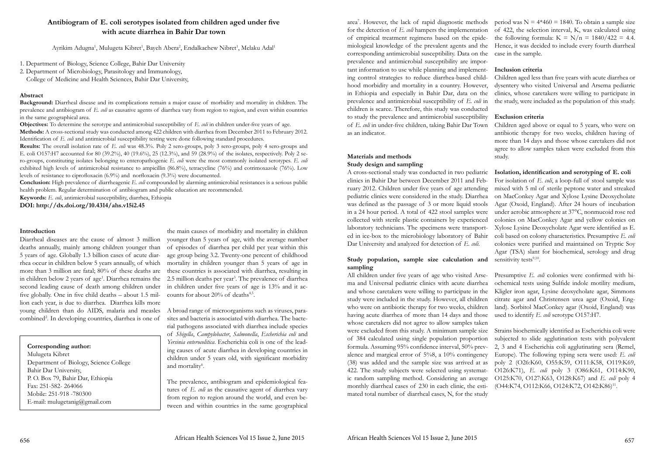# **Antibiogram of E. coli serotypes isolated from children aged under five with acute diarrhea in Bahir Dar town**

Ayrikim Adugna<sup>1</sup>, Mulugeta Kibret<sup>1</sup>, Bayeh Abera<sup>2</sup>, Endalkachew Nibret<sup>1</sup>, Melaku Adal<sup>1</sup>

- 1. Department of Biology, Science College, Bahir Dar University
- 2. Department of Microbiology, Parasitology and Immunology,

College of Medicine and Health Sciences, Bahir Dar University,

# **Abstract**

**Objectives:** To determine the serotype and antimicrobial susceptibility of *E. coli* in children under-five years of age. **Methods:** A cross-sectional study was conducted among 422 children with diarrhea from December 2011 to February 2012. Identification of *E. coli* and antimicrobial susceptibility testing were done following standard procedures.

**Background:** Diarrheal disease and its complications remain a major cause of morbidity and mortality in children. The prevalence and antibiogram of *E. coli* as causative agents of diarrhea vary from region to region, and even within countries in the same geographical area.

Diarrheal diseases are the cause of almost 3 million younger than 5 years of age, with the average number rhea occur in children below 5 years annually, of which mortality in children younger than 5 years of age in the main causes of morbidity and mortality in children of episodes of diarrhea per child per year within this age group being 3.2. Twenty-one percent of childhood these countries is associated with diarrhea, resulting in 2.5 million deaths per year<sup>3</sup>. The prevalence of diarrhea in children under five years of age is 13% and it accounts for about  $20\%$  of deaths<sup>4,5</sup>.

deaths annually, mainly among children younger than 5 years of age. Globally 1.3 billion cases of acute diarmore than 3 million are fatal; 80% of these deaths are in children below 2 years of age<sup>1</sup>. Diarrhea remains the second leading cause of death among children under five globally. One in five child deaths – about 1.5 million each year, is due to diarrhea. Diarrhea kills more young children than do AIDS, malaria and measles combined<sup>2</sup>. In developing countries, diarrhea is one of

**Results:** The overall isolation rate of *E. coli* was 48.3%. Poly 2 sero-groups, poly 3 sero-groups, poly 4 sero-groups and E. coli O157:H7 accounted for 80 (39.2%), 40 (19.6%), 25 (12.3%), and 59 (28.9%) of the isolates, respectively. Poly 2 sero-groups, constituting isolates belonging to enteropathogenic *E. coli* were the most commonly isolated serotypes. *E. coli*  exhibited high levels of antimicrobial resistance to ampicillin (86.8%), tetracycline (76%) and cotrimoxazole (76%). Low levels of resistance to ciprofloxacin (6.9%) and norfloxacin (9.3%) were documented.

> A broad range of microorganisms such as viruses, parasites and bacteria is associated with diarrhea. The bacterial pathogens associated with diarrhea include species of *Shigella*, *Campylobacter*, *Salmonella*, *Escherichia coli* and *Yersinia enterocolitica*. Escherichia coli is one of the leading causes of acute diarrhea in developing countries in children under 5 years old, with significant morbidity and mortality<sup>6</sup>.

**Conclusion:** High prevalence of diarrheagenic *E. coli* compounded by alarming antimicrobial resistances is a serious public health problem. Regular determination of antibiogram and public education are recommended.

**Keywords:** *E. coli*, antimicrobial susceptibility, diarrhea, Ethiopia

**DOI: http://dx.doi.org/10.4314/ahs.v15i2.45**

**Corresponding author:**

Mulugeta Kibret Department of Biology, Science College Bahir Dar University, P. O. Box 79, Bahir Dar, Ethiopia Fax: 251-582- 264066 Mobile: 251-918 -780300 E-mail: mulugetanig@gmail.com

### **Introduction**

A cross-sectional study was conducted in two pediatric clinics in Bahir Dar between December 2011 and February 2012. Children under five years of age attending pediatric clinics were considered in the study. Diarrhea was defined as the passage of 3 or more liquid stools in a 24 hour period. A total of 422 stool samples were collected with sterile plastic containers by experienced laboratory technicians. The specimens were transported in ice-box to the microbiology laboratory of Bahir Dar University and analyzed for detection of *E. coli*. **Study population, sample size calculation and Isolation, identification and serotyping of E. coli** For isolation of *E. coli*, a loop-full of stool sample was mixed with 5 ml of sterile peptone water and streaked on MacConkey Agar and Xylose Lysine Deoxycholate Agar (Oxoid, England). After 24 hours of incubation under aerobic atmosphere at 37°C, nonmucoid rose red colonies on MacConkey Agar and yellow colonies on Xylose Lysine Deoxycholate Agar were identified as E. coli based on colony characteristics. Presumptive *E. coli* colonies were purified and maintained on Tryptic Soy Agar (TSA) slant for biochemical, serology and drug sensitivity tests<sup>9,10</sup>.

All children under five years of age who visited Arsema and Universal pediatric clinics with acute diarrhea and whose caretakers were willing to participate in the study were included in the study. However, all children who were on antibiotic therapy for two weeks, children having acute diarrhea of more than 14 days and those whose caretakers did not agree to allow samples taken were excluded from this study. A minimum sample size of 384 calculated using single population proportion formula. Assuming 95% confidence interval, 50% prevalence and margical error of 5%8, a 10% contingency (38) was added and the sample size was arrived at as 422. The study subjects were selected using systemat-O126:K71), *E. coli* poly 3 (O86:K61, O114:K90, ic random sampling method. Considering an average monthly diarrheal cases of 230 in each clinic, the estimated total number of diarrheal cases, N, for the study Presumptive *E. coli* colonies were confirmed with biochemical tests using Sulfide indole motility medium, Kligler iron agar, Lysine deoxycholate agar, Simmons citrate agar and Christensen urea agar (Oxoid, England). Sorbitol MacConkey agar (Oxoid, England) was used to identify *E. coli* serotype O157:H7. Strains biochemically identified as Escherichia coli were subjected to slide agglutination tests with polyvalent 2, 3 and 4 Escherichia coli agglutinating sera (Remel, Europe). The following typing sera were used: *E. coli* poly 2 (O26:K60, O55:K59, O111:K58, O119:K69, O125:K70, O127:K63, O128:K67) and *E. coli* poly 4 (O44:K74, O112:K66, O124:K72, O142:K86)<sup>11</sup>.

area<sup>7</sup>. However, the lack of rapid diagnostic methods period was  $N = 4*460 = 1840$ . To obtain a sample size for the detection of *E. coli* hampers the implementation of 422, the selection interval, K, was calculated using of empirical treatment regimens based on the epidemiological knowledge of the prevalent agents and the Hence, it was decided to include every fourth diarrheal corresponding antimicrobial susceptibility. Data on the prevalence and antimicrobial susceptibility are important information to use while planning and implementing control strategies to reduce diarrhea-based childhood morbidity and mortality in a country. However, in Ethiopia and especially in Bahir Dar, data on the prevalence and antimicrobial susceptibility of *E. coli* in children is scarce. Therefore, this study was conducted to study the prevalence and antimicrobial susceptibility of *E. coli* in under-five children, taking Bahir Dar Town as an indicator. the following formula:  $K = N/n = 1840/422 = 4.4$ . case in the sample. **Inclusion criteria** Children aged less than five years with acute diarrhea or dysentery who visited Universal and Arsema pediatric clinics, whose caretakers were willing to participate in the study, were included as the population of this study. **Exclusion criteria** Children aged above or equal to 5 years, who were on antibiotic therapy for two weeks, children having of

The prevalence, antibiogram and epidemiological features of *E. coli* as the causative agent of diarrhea vary from region to region around the world, and even between and within countries in the same geographical

## **Materials and methods Study design and sampling**

# **sampling**

more than 14 days and those whose caretakers did not agree to allow samples taken were excluded from this study.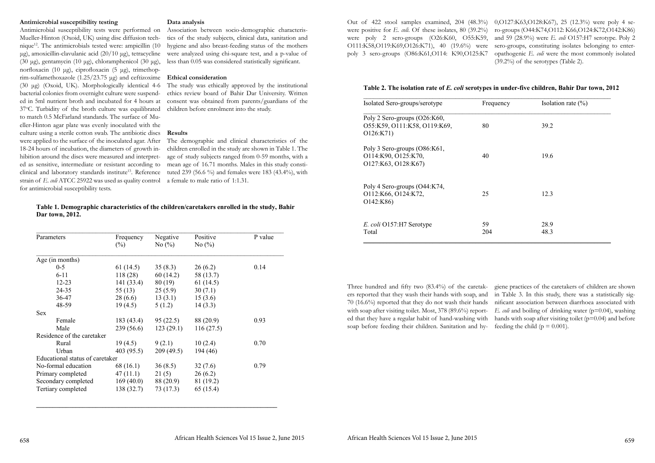# **Antimicrobial susceptibility testing**

Antimicrobial susceptibility tests were performed on Mueller-Hinton (Oxoid, UK) using disc diffusion technique<sup>12</sup>. The antimicrobials tested were: ampicillin (10) μg), amoxicillin-clavulanic acid (20/10 μg), tetracycline (30 μg), gentamycin (10 μg), chloramphenicol (30 μg), norfloxacin (10 μg), ciprofloxacin (5 μg), trimethoprim-sulfamethoxazole (1.25/23.75 μg) and ceftizoxime **Ethical consideration** (30 μg) (Oxoid, UK). Morphologically identical 4-6 bacterial colonies from overnight culture were suspended in 5ml nutrient broth and incubated for 4 hours at 37°C. Turbidity of the broth culture was equilibrated to match 0.5 McFarland standards. The surface of Mueller-Hinton agar plate was evenly inoculated with the culture using a sterile cotton swab. The antibiotic discs were applied to the surface of the inoculated agar. After 18-24 hours of incubation, the diameters of growth inhibition around the discs were measured and interpreted as sensitive, intermediate or resistant according to clinical and laboratory standards institute<sup>13</sup>. Reference strain of *E. coli* ATCC 25922 was used as quality control for antimicrobial susceptibility tests.

# **Data analysis**

Association between socio-demographic characteristics of the study subjects, clinical data, sanitation and hygiene and also breast-feeding status of the mothers were analyzed using chi-square test, and a p-value of less than 0.05 was considered statistically significant.

The study was ethically approved by the institutional ethics review board of Bahir Dar University. Written consent was obtained from parents/guardians of the children before enrolment into the study.

# **Results**

The demographic and clinical characteristics of the children enrolled in the study are shown in Table 1. The age of study subjects ranged from 0-59 months, with a mean age of 16.71 months. Males in this study constituted 239 (56.6 %) and females were 183 (43.4%), with a female to male ratio of 1:1.31.

# **Table 1. Demographic characteristics of the children/caretakers enrolled in the study, Bahir Dar town, 2012.**

giene practices of the caretakers of children are shown in Table 3. In this study, there was a statistically significant association between diarrhoea associated with *E. coli* and boiling of drinking water (p=0.04), washing hands with soap after visiting toilet  $(p=0.04)$  and before feeding the child ( $p = 0.001$ ).

| Parameters                      | Frequency   | Negative  | Positive  | P value |  |
|---------------------------------|-------------|-----------|-----------|---------|--|
|                                 | $(\%)$      | No $(\%)$ | No $(\%)$ |         |  |
| Age (in months)                 |             |           |           |         |  |
| $0 - 5$                         | 61 $(14.5)$ | 35(8.3)   | 26(6.2)   | 0.14    |  |
| $6 - 11$                        | 118(28)     | 60(14.2)  | 58 (13.7) |         |  |
| $12 - 23$                       | 141(33.4)   | 80(19)    | 61(14.5)  |         |  |
| 24-35                           | 55 $(13)$   | 25(5.9)   | 30(7.1)   |         |  |
| 36-47                           | 28(6.6)     | 13(3.1)   | 15(3.6)   |         |  |
| 48-59                           | 19(4.5)     | 5(1.2)    | 14(3.3)   |         |  |
| <b>Sex</b>                      |             |           |           |         |  |
| Female                          | 183(43.4)   | 95(22.5)  | 88 (20.9) | 0.93    |  |
| Male                            | 239(56.6)   | 123(29.1) | 116(27.5) |         |  |
| Residence of the caretaker      |             |           |           |         |  |
| Rural                           | 19(4.5)     | 9(2.1)    | 10(2.4)   | 0.70    |  |
| Urban                           | 403(95.5)   | 209(49.5) | 194 (46)  |         |  |
| Educational status of caretaker |             |           |           |         |  |
| No-formal education             | 68 (16.1)   | 36(8.5)   | 32(7.6)   | 0.79    |  |
| Primary completed               | 47(11.1)    | 21(5)     | 26(6.2)   |         |  |
| Secondary completed             | 169(40.0)   | 88 (20.9) | 81 (19.2) |         |  |
| Tertiary completed              | 138(32.7)   | 73 (17.3) | 65 (15.4) |         |  |

**\_\_\_\_\_\_\_\_\_\_\_\_\_\_\_\_\_\_\_\_\_\_\_\_\_\_\_\_\_\_\_\_\_\_\_\_\_\_\_\_\_\_\_\_\_\_\_\_\_\_\_\_\_\_\_\_\_\_\_\_\_\_\_\_\_\_\_\_\_\_\_\_\_**

Out of 422 stool samples examined, 204 (48.3%) were positive for *E. coli.* Of these isolates, 80 (39.2%) were poly 2 sero-groups (O26:K60, O55:K59, O111:K58,O119:K69,O126:K71), 40 (19.6%) were poly 3 sero-groups (O86:K61,O114: K90,O125:K7 0,O127:K63,O128:K67), 25 (12.3%) were poly 4 sero-groups (O44:K74,O112: K66,O124:K72,O142:K86) and 59 (28.9%) were *E. coli* O157:H7 serotype. Poly 2 sero-groups, constituting isolates belonging to enteropathogenic *E. coli* were the most commonly isolated (39.2%) of the serotypes (Table 2).

### **Table 2. The isolation rate of** *E. coli* **serotypes in under-five children, Bahir Dar town, 2012**

| Isolated Sero-groups/serotype                                              | Frequency | Isolation rate $(\% )$ |
|----------------------------------------------------------------------------|-----------|------------------------|
| Poly 2 Sero-groups (O26:K60,<br>O55:K59, O111:K58, O119:K69,<br>O126:K71)  | 80        | 39.2                   |
| Poly 3 Sero-groups (O86:K61,<br>O114:K90, O125:K70,<br>O127:K63, O128:K67) | 40        | 19.6                   |
| Poly 4 Sero-groups (O44:K74,<br>O112:K66, O124:K72,<br>O142:K86            | 25        | 12.3                   |
| E. coli O157:H7 Serotype<br>Total                                          | 59<br>204 | 28.9<br>48.3           |

Three hundred and fifty two (83.4%) of the caretakers reported that they wash their hands with soap, and 70 (16.6%) reported that they do not wash their hands with soap after visiting toilet. Most, 378 (89.6%) reported that they have a regular habit of hand-washing with soap before feeding their children. Sanitation and hy-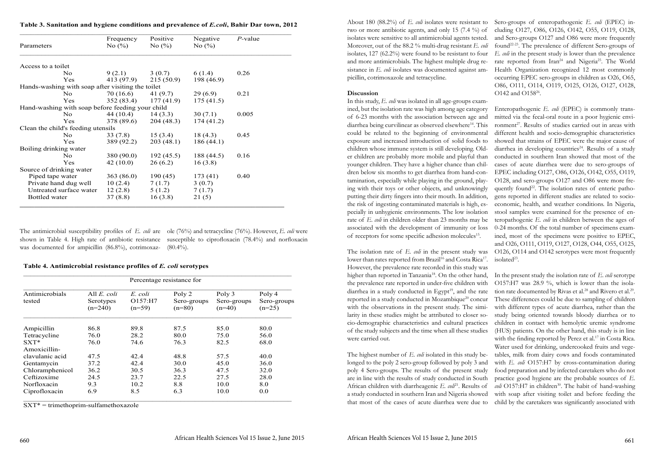The antimicrobial susceptibility profiles of *E. coli* are ole (76%) and tetracycline (76%). However, *E. coli* were shown in Table 4. High rate of antibiotic resistance susceptible to ciprofloxacin (78.4%) and norfloxacin was documented for ampicillin (86.8%), cotrimoxaz-(80.4%).

### **Table 4. Antimicrobial resistance profiles of** *E. coli* **serotypes**

| Percentage resistance for |                                              |                                |                                   |                                   |                                   |
|---------------------------|----------------------------------------------|--------------------------------|-----------------------------------|-----------------------------------|-----------------------------------|
| Antimicrobials<br>tested  | All <i>E. coli</i><br>Serotypes<br>$(n=240)$ | E. coli<br>O157:H7<br>$(n=59)$ | Poly 2<br>Sero-groups<br>$(n=80)$ | Poly 3<br>Sero-groups<br>$(n=40)$ | Poly 4<br>Sero-groups<br>$(n=25)$ |
| Ampicillin                | 86.8                                         | 89.8                           | 87.5                              | 85.0                              | 80.0                              |
| Tetracycline              | 76.0                                         | 28.2                           | 80.0                              | 75.0                              | 56.0                              |
| $SXT*$                    | 76.0                                         | 74.6                           | 76.3                              | 82.5                              | 68.0                              |
| Amoxicillin-              |                                              |                                |                                   |                                   |                                   |
| clavulanic acid           | 47.5                                         | 42.4                           | 48.8                              | 57.5                              | 40.0                              |
| Gentamycin                | 37.2                                         | 42.4                           | 30.0                              | 45.0                              | 36.0                              |
| Chloramphenicol           | 36.2                                         | 30.5                           | 36.3                              | 47.5                              | 32.0                              |
| Ceftizoxime               | 24.5                                         | 23.7                           | 22.5                              | 27.5                              | 28.0                              |
| Norfloxacin               | 9.3                                          | 10.2                           | 8.8                               | 10.0                              | 8.0                               |
| Ciprofloxacin             | 6.9                                          | 8.5                            | 6.3                               | 10.0                              | 0.0                               |

 $SXT* =$ trimethoprim-sulfamethoxazole

| Table 3. Sanitation and hygiene conditions and prevalence of <i>E.coli</i> , Bahir Dar town, 2012 |  |  |
|---------------------------------------------------------------------------------------------------|--|--|
|---------------------------------------------------------------------------------------------------|--|--|

In this study, *E. coli* was isolated in all age-groups examined, but the isolation rate was high among age category of 6-23 months with the association between age and diarrhea being curvilinear as observed elsewhere<sup>14</sup>. This could be related to the beginning of environmental exposure and increased introduction of solid foods to children whose immune system is still developing. Older children are probably more mobile and playful than younger children. They have a higher chance than children below six months to get diarrhea from hand-contamination, especially while playing in the ground, playing with their toys or other objects, and unknowingly putting their dirty fingers into their mouth. In addition, the risk of ingesting contaminated materials is high, especially in unhygienic environments. The low isolation rate of *E. coli* in children older than 23 months may be associated with the development of immunity or loss of receptors for some specific adhesion molecules<sup>15</sup>. The isolation rate of *E. coli* in the present study was lower than rates reported from Brazil<sup>16</sup> and Costa Rica<sup>17</sup>. Enteropathogenic *E. coli* (EPEC) is commonly transmitted via the fecal-oral route in a poor hygienic environment<sup>27</sup>. Results of studies carried out in areas with different health and socio-demographic characteristics showed that strains of EPEC were the major cause of diarrhea in developing countries<sup>24</sup>. Results of a study conducted in southern Iran showed that most of the cases of acute diarrhea were due to sero-groups of EPEC including O127, O86, O126, O142, O55, O119, O128, and sero-groups O127 and O86 were more frequently found<sup>22</sup>. The isolation rates of enteric pathogens reported in different studies are related to socioeconomic, health, and weather conditions. In Nigeria, stool samples were examined for the presence of enteropathogenic *E. coli* in children between the ages of 0-24 months. Of the total number of specimens examined, most of the specimens were positive to EPEC, and O26, O111, O119, O127, O128, O44, O55, O125, O126, O114 and O142 serotypes were most frequently isolated<sup>23</sup>.

|                                                   | Frequency  | Positive                | Negative   | $P$ -value |
|---------------------------------------------------|------------|-------------------------|------------|------------|
| Parameters                                        | No $(\%)$  | No $(\%)$               | No $(\%)$  |            |
| Access to a toilet                                |            |                         |            |            |
| No.                                               |            | $9(2.1)$ $3(0.7)$       | 6 (1.4)    | 0.26       |
| Yes                                               |            | $413(97.9)$ $215(50.9)$ | 198 (46.9) |            |
| Hands-washing with soap after visiting the toilet |            |                         |            |            |
| No.                                               | 70 (16.6)  | 41 (9.7)                | 29(6.9)    | 0.21       |
| Yes                                               | 352 (83.4) | 177(41.9)               | 175(41.5)  |            |
| Hand-washing with soap before feeding your child  |            |                         |            |            |
| No.                                               | 44 (10.4)  | 14(3.3)                 | 30(7.1)    | 0.005      |
| Yes                                               | 378 (89.6) | 204 (48.3)              | 174(41.2)  |            |
| Clean the child's feeding utensils                |            |                         |            |            |
| N <sub>o</sub>                                    | 33(7.8)    | 15(3.4)                 | 18(4.3)    | 0.45       |
| Yes                                               | 389 (92.2) | 203(48.1)               | 186(44.1)  |            |
| Boiling drinking water                            |            |                         |            |            |
| $\overline{N}$                                    | 380(90.0)  | 192(45.5)               | 188 (44.5) | 0.16       |
| Yes                                               | 42(10.0)   | 26(6.2)                 | 16(3.8)    |            |
| Source of drinking water                          |            |                         |            |            |
| Piped tape water                                  | 363(86.0)  | 190(45)                 | 173(41)    | 0.40       |
| Private hand dug well                             | 10(2.4)    | 7(1.7)                  | 3(0.7)     |            |
| Untreated surface water                           | 12(2.8)    | 5(1.2)                  | 7(1.7)     |            |
| <b>Bottled</b> water                              | 37(8.8)    | 16(3.8)                 | 21(5)      |            |

About 180 (88.2%) of *E. coli* isolates were resistant to Sero-groups of enteropathogenic *E. coli* (EPEC) intwo or more antibiotic agents, and only 15 (7.4 %) of isolates were sensitive to all antimicrobial agents tested. Moreover, out of the 88.2 % multi-drug resistant *E. coli* isolates, 127 (62.2%) were found to be resistant to four and more antimicrobials. The highest multiple drug resistance in *E. coli* isolates was documented against ampicillin, cotrimoxazole and tetracycline. **Discussion** cluding O127, O86, O126, O142, O55, O119, O128, and Sero-groups O127 and O86 were more frequently found22-23. The prevalence of different Sero-groups of *E. coli* in the present study is lower than the prevalence rate reported from Iran<sup>24</sup> and Nigeria<sup>25</sup>. The World Health Organization recognized 12 most commonly occurring EPEC sero-groups in children as O26, O65, O86, O111, O114, O119, O125, O126, O127, O128, O142 and O15826.

However, the prevalence rate recorded in this study was higher than reported in Tanzania<sup>18</sup>. On the other hand, In the present study the isolation rate of *E. coli* serotype the prevalence rate reported in under-five children with diarrhea in a study conducted in Egypt<sup>19</sup>, and the rate reported in a study conducted in Mozambique<sup>20</sup> concur with the observations in the present study. The similarity in these studies might be attributed to closer socio-demographic characteristics and cultural practices of the study subjects and the time when all these studies were carried out. The highest number of *E. coli* isolated in this study belonged to the poly 2 sero-group followed by poly 3 and poly 4 Sero-groups. The results of the present study are in line with the results of study conducted in South African children with diarrheagenic *E. col*<sup>21</sup>. Results of a study conducted in southern Iran and Nigeria showed that most of the cases of acute diarrhea were due to O157:H7 was 28.9 %, which is lower than the isolation rate documented by Rivas et al.<sup>28</sup> and Rivero et al.<sup>29</sup>. These differences could be due to sampling of children with different types of acute diarrhea, rather than the study being oriented towards bloody diarrhea or to children in contact with hemolytic uremic syndrome (HUS) patients. On the other hand, this study is in line with the finding reported by Perez et al.<sup>17</sup> in Costa Rica. Water used for drinking, undercooked fruits and vegetables, milk from dairy cows and foods contaminated with *E. coli* O157:H7 by cross-contamination during food preparation and by infected caretakers who do not practice good hygiene are the probable sources of *E. coli* O157:H7 in children<sup>30</sup>. The habit of hand-washing with soap after visiting toilet and before feeding the child by the caretakers was significantly associated with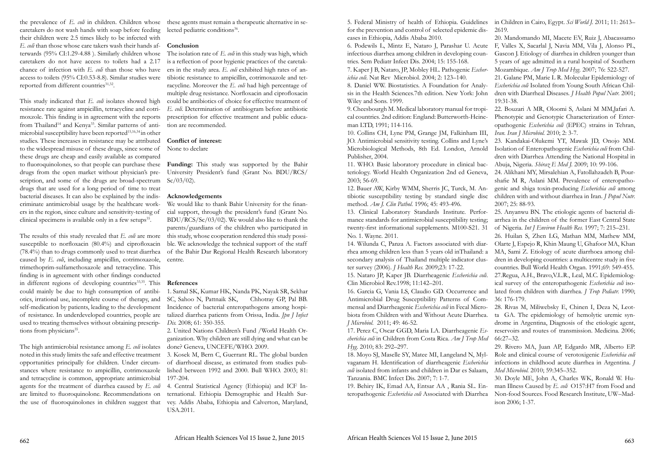the prevalence of *E. coli* in children. Children whose these agents must remain a therapeutic alternative in secaretakers do not wash hands with soap before feeding their children were 2.5 times likely to be infected with *E. coli* than those whose care takers wash their hands afterwards (95% CI:1.29-4.88 ). Similarly children whose caretakers do not have access to toilets had a 2.17 chance of infection with *E. coli* than those who have access to toilets (95% CI:0.53-8.8). Similar studies were tibiotic resistance to ampicillin, cotrimoxazole and tetreported from different countries<sup>31,32</sup>.

This study indicated that *E. coli* isolates showed high resistance rate against ampicillin, tetracycline and cotrimoxzole. This finding is in agreement with the reports from Thailand<sup>14</sup> and Kenya<sup>33</sup>. Similar patterns of antimicrobial susceptibility have been reported<sup>15,16,34</sup> in other studies. These increases in resistance may be attributed **Conflict of interest:**  to the widespread misuse of these drugs, since some of these drugs are cheap and easily available as compared to fluoroquinolones, so that people can purchase these **Funding:** This study was supported by the Bahir drugs from the open market without physician's prescription, and some of the drugs are broad-spectrum drugs that are used for a long period of time to treat bacterial diseases. It can also be explained by the indiscriminate antimicrobial usage by the healthcare workers in the region, since culture and sensitivity-testing of clinical specimens is available only in a few setups $35$ .

The results of this study revealed that *E. coli* are more susceptible to norfloxacin (80.4%) and ciprofloxacin (78.4%) than to drugs commonly used to treat diarrhea caused by *E. coli*, including ampicillin, cotrimoxazole, trimethoprim-sulfamethoxazole and tetracycline. This finding is in agreement with other findings conducted in different regions of developing countries<sup>33,35</sup>. This could mainly be due to high consumption of antibiself-medication by patients, leading to the development Incidence of bacterial enteropathogens among hospiof resistance. In underdeveloped countries, people are used to treating themselves without obtaining prescriptions from physicians<sup>35</sup>.

University President's fund (Grant No. BDU/RCS/  $Sc/03/02$ ).

We would like to thank Bahir University for the financial support, through the president's fund (Grant No. BDU/RCS/Sc/03/02). We would also like to thank the parents/guardians of the children who participated in this study, whose cooperation rendered this study possible. We acknowledge the technical support of the staff of the Bahir Dar Regional Health Research laboratory centre.

The high antimicrobial resistance among *E. coli* isolates noted in this study limits the safe and effective treatment opportunities principally for children. Under circumstances where resistance to ampicillin, cotrimoxazole and tetracycline is common, appropriate antimicrobial agents for the treatment of diarrhea caused by *E. coli* 4. Central Statistical Agency (Ethiopia) and ICF Inare limited to fluoroquinolone. Recommendations on the use of fluoroquinolones in children suggest that

lected pediatric conditions<sup>36</sup>.

# **Conclusion**

The isolation rate of *E. coli* in this study was high, which is a reflection of poor hygienic practices of the caretakers in the study area. *E. coli* exhibited high rates of anracycline. Moreover the *E. coli* had high percentage of multiple drug resistance. Norfloxacin and ciprofloxacin could be antibiotics of choice for effective treatment of *E. coli.* Determination of antibiogram before antibiotic prescription for effective treatment and public education are recommended.

otics, irrational use, incomplete course of therapy, and SC, Sahoo N, Pattnaik SK, Chhotray GP, Pal BB. 1. Samal SK, Kumar HK, Nanda PK, Nayak SR, Sekhar talized diarrhea patients from Orissa, India. *Jpn J Infect Dis.* 2008; 61: 350-355.

None to declare

# **Acknowledgements**

# **References**

2. United Nations Children's Fund /World Health Organization. Why children are still dying and what can be done? Geneva, UNCEFE/WHO. 2009.

3. Kosek M, Bern C, Guerrant RL. The global burden of diarrhoeal disease, as estimated from studies published between 1992 and 2000. Bull WHO. 2003; 81: 197-204.

ternational. Ethiopia Demographic and Health Survey. Addis Ababa, Ethiopia and Calverton, Maryland, USA.2011.

*ichia coli*. Nat Rev Microbiol. 2004; 2: 123–140.

JO. Antimicrobial sensitivity testing. Collins and Lyne's Microbiological Methods, 8th Ed. London, Arnold Publisher, 2004.

11. WHO. Basic laboratory procedure in clinical bac-

5. Federal Ministry of health of Ethiopia. Guidelines in Children in Cairo, Egypt. *Sci World J.* 2011; 11: 2613– for the prevention and control of selected epidemic diseases in Ethiopia, Addis Ababa 2010. 2619. 20. Mandomando MI, Macete EV, Ruiz J, Abacassamo

6. Podewils L, Mintz E, Nataro J, Parashar U. Acute F, Valles X, Sacarlal J, Navia MM, Vila J, Alonso PL, infectious diarrhea among children in developing countries. Sem Pediatr Infect Dis. 2004; 15: 155-168. 7. Kaper J B, Nataro, JP, Mobley HL. Pathogenic *Escher-*Gascon J. Etiology of diarrhea in children younger than 5 years of age admitted in a rural hospital of Southern Mozambique. *Am J Trop Med Hyg.* 2007; 76: 522-527.

8. Daniel WW. Biostatistics. A Foundation for Analysis in the Health Sciences.7th edition. New York: John Wiley and Sons. 1999. 21. Galane PM, Marie L R. Molecular Epidemiology of *Escherichia coli* Isolated from Young South African Children with Diarrheal Diseases. *J Health Popul Nutr.* 2001; 19:31-38.

16. Garcia G, Vania LS, Claudio GD. Occurrence and Antimicrobial Drug Susceptibility Patterns of Commensal and Diarrheagenic *Escherichia coli* in Fecal Microbiota from Children with and Without Acute Diarrhea. *J Microbiol.* 2011; 49: 46-52.

9. Cheesbourgh M. Medical laboratory manual for tropical countries. 2nd edition: England: Butterworth-Heineman LTD, 1991; 114-116. 10. Collins CH, Lyne PM, Grange JM, Falkinham III, 22. Bouzari A MR, Oloomi S, Aslani M MM,Jafari A. Phenotypic and Genotypic Characterization of Enteropathogenic *Escherichia coli* (EPEC) strains in Tehran, *Iran. Iran J Microbiol.* 2010; 2: 3-7.

17. Perez C, Oscar GGD, Maria LA. Diarrheagenic *Escherichia coli* in Children from Costa Rica. *Am J Trop Med* 

teriology. World Health Organization 2nd ed Geneva, 2003; 56-69. 12. Bauer AW, Kirby WMM, Sherris JC, Turck, M. Antibiotic susceptibility testing by standard single disc method. *Am J. Clin Pathol.* 1996; 45: 493-496. 24. Alikhani MY, Mirsalehian A, Fatollahzadeh B, Pourshafie M R, Aslani MM. Prevalence of enteropathogenic and shiga toxin-producing *Escherichia coli* among children with and without diarrhea in Iran. *J Popul Nutr.*  2007; 25: 88-93.

13. Clinical Laboratory Standards Institute. Performance standards for antimicrobial susceptibility testing; twenty-first informational supplements. M100-S21. 31 No. 1. Wayne. 2011. 25. Anyanwu BN. The etiologic agents of bacterial diarrhea in the children of the former East Central State of Nigeria. *Int J Environ Health Res.* 1997; 7: 215–231. 26. Huilan S, Zhen LG, Mathan MM, Mathew MM,

14. Wilunda C, Panza A. Factors associated with diarrhea among children less than 5 years old inThailand: a secondary analysis of Thailand multiple indicator cluster survey (2006). *J Health Res.* 2009;23: 17-22. Olarte J, Espejo R, Khin Maung U, Ghafoor MA, Khan MA, Sami Z. Etiology of acute diarrhoea among children in developing countries: a multicentre study in five countries. Bull World Health Organ. 1991;69: 549-455.

15. Nataro JP, Kaper JB. Diarrheagenic *Escherichia coli*. Clin Microbiol Rev.1998; 11:142–201. 27.Regua, A.H., Bravo,V.L.R., Leal, M.C. Epidemiological survey of the enteropathogenic *Escherichia coli* isolated from children with diarrhea. *J Trop Pediatr.* 1990; 36: 176-179.

23. Kandakai-Olukemi YT, Mawak JD, Onojo MM. Isolation of Enteropathogenic *Escherichia coli* from Children with Diarrhea Attending the National Hospital in Abuja, Nigeria. *Shiraz E Med J.* 2009; 10: 99-106.

*Hyg.* 2010; 83: 292–297. 18. Moyo SJ, Maselle SY, Matee MI, Langeland N, Mylvaganam H. Identification of diarrheagenic *Escherichia coli* isolated from infants and children in Dar es Salaam, Tanzania. BMC Infect Dis. 2007; 7: 1-7. 29. Rivero MA, Juan AP, Edgardo MR, Alberto EP. Role and clinical course of verotoxigenic *Escherichia coli*  infections in childhood acute diarrhea in Argentina. *J Med Microbiol.* 2010; 59:345–352. 30. Doyle ME, John A, Charles WK, Ronald W. Hu-

19. Behiry IK, Emad AA, Entsar AA , Rania SL. Enteropathogenic *Escherichia coli* Associated with Diarrhea man Illness Caused by *E. coli* O157:H7 from Food and Non-food Sources. Food Research Institute, UW–Madison 2006; 1-37.

28. Rivas M, Miliwebsky E, Chinen I, Deza N, Leotta GA. The epidemiology of hemolytic uremic syndrome in Argentina, Diagnosis of the etiologic agent, reservoirs and routes of transmission. Medicina. 2006; 66:27–32.